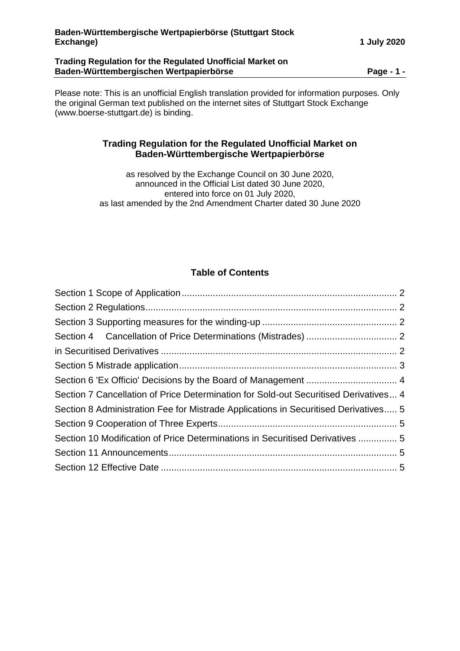### **Trading Regulation for the Regulated Unofficial Market on Baden-Württembergischen Wertpapierbörse Page - 1 -**

Please note: This is an unofficial English translation provided for information purposes. Only the original German text published on the internet sites of Stuttgart Stock Exchange (www.boerse-stuttgart.de) is binding.

# **Trading Regulation for the Regulated Unofficial Market on Baden-Württembergische Wertpapierbörse**

as resolved by the Exchange Council on 30 June 2020, announced in the Official List dated 30 June 2020, entered into force on 01 July 2020, as last amended by the 2nd Amendment Charter dated 30 June 2020

# **Table of Contents**

| Section 7 Cancellation of Price Determination for Sold-out Securitised Derivatives 4 |  |
|--------------------------------------------------------------------------------------|--|
| Section 8 Administration Fee for Mistrade Applications in Securitised Derivatives 5  |  |
|                                                                                      |  |
| Section 10 Modification of Price Determinations in Securitised Derivatives  5        |  |
|                                                                                      |  |
|                                                                                      |  |
|                                                                                      |  |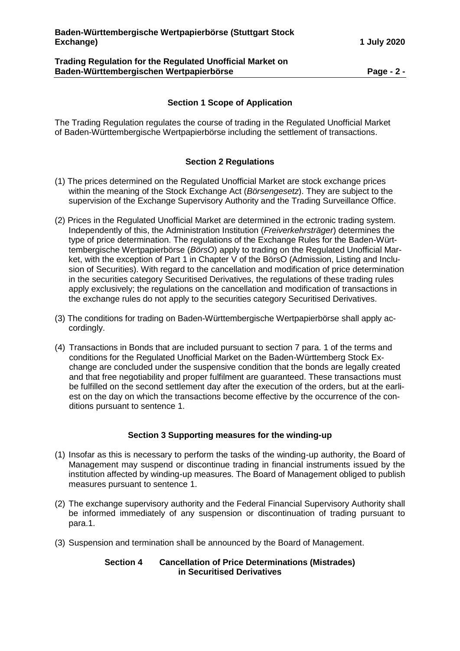### **Trading Regulation for the Regulated Unofficial Market on Baden-Württembergischen Wertpapierbörse Page - 2 -**

# **Section 1 Scope of Application**

<span id="page-1-0"></span>The Trading Regulation regulates the course of trading in the Regulated Unofficial Market of Baden-Württembergische Wertpapierbörse including the settlement of transactions.

### **Section 2 Regulations**

- <span id="page-1-1"></span>(1) The prices determined on the Regulated Unofficial Market are stock exchange prices within the meaning of the Stock Exchange Act (*Börsengesetz*). They are subject to the supervision of the Exchange Supervisory Authority and the Trading Surveillance Office.
- (2) Prices in the Regulated Unofficial Market are determined in the ectronic trading system. Independently of this, the Administration Institution (*Freiverkehrsträger*) determines the type of price determination. The regulations of the Exchange Rules for the Baden-Württembergische Wertpapierbörse (*BörsO*) apply to trading on the Regulated Unofficial Market, with the exception of Part 1 in Chapter V of the BörsO (Admission, Listing and Inclusion of Securities). With regard to the cancellation and modification of price determination in the securities category Securitised Derivatives, the regulations of these trading rules apply exclusively; the regulations on the cancellation and modification of transactions in the exchange rules do not apply to the securities category Securitised Derivatives.
- (3) The conditions for trading on Baden-Württembergische Wertpapierbörse shall apply accordingly.
- (4) Transactions in Bonds that are included pursuant to section 7 para. 1 of the terms and conditions for the Regulated Unofficial Market on the Baden-Württemberg Stock Exchange are concluded under the suspensive condition that the bonds are legally created and that free negotiability and proper fulfilment are guaranteed. These transactions must be fulfilled on the second settlement day after the execution of the orders, but at the earliest on the day on which the transactions become effective by the occurrence of the conditions pursuant to sentence 1.

### **Section 3 Supporting measures for the winding-up**

- <span id="page-1-2"></span>(1) Insofar as this is necessary to perform the tasks of the winding-up authority, the Board of Management may suspend or discontinue trading in financial instruments issued by the institution affected by winding-up measures. The Board of Management obliged to publish measures pursuant to sentence 1.
- (2) The exchange supervisory authority and the Federal Financial Supervisory Authority shall be informed immediately of any suspension or discontinuation of trading pursuant to para.1.
- <span id="page-1-4"></span><span id="page-1-3"></span>(3) Suspension and termination shall be announced by the Board of Management.

#### **Section 4 Cancellation of Price Determinations (Mistrades) in Securitised Derivatives**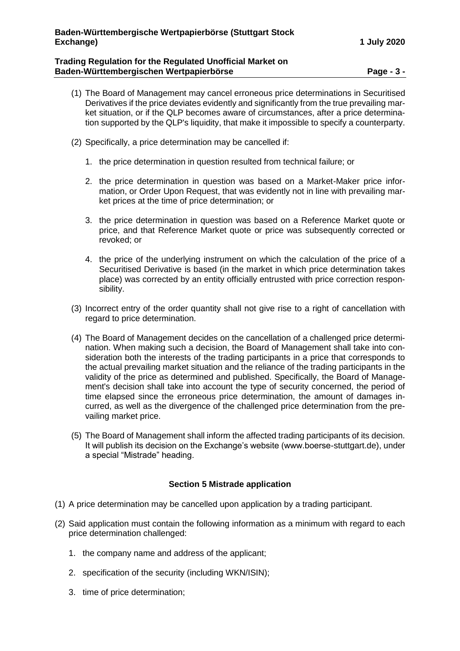### **Trading Regulation for the Regulated Unofficial Market on Baden-Württembergischen Wertpapierbörse Page - 3 -**

- (1) The Board of Management may cancel erroneous price determinations in Securitised Derivatives if the price deviates evidently and significantly from the true prevailing market situation, or if the QLP becomes aware of circumstances, after a price determination supported by the QLP's liquidity, that make it impossible to specify a counterparty.
- (2) Specifically, a price determination may be cancelled if:
	- 1. the price determination in question resulted from technical failure; or
	- 2. the price determination in question was based on a Market-Maker price information, or Order Upon Request, that was evidently not in line with prevailing market prices at the time of price determination; or
	- 3. the price determination in question was based on a Reference Market quote or price, and that Reference Market quote or price was subsequently corrected or revoked; or
	- 4. the price of the underlying instrument on which the calculation of the price of a Securitised Derivative is based (in the market in which price determination takes place) was corrected by an entity officially entrusted with price correction responsibility.
- (3) Incorrect entry of the order quantity shall not give rise to a right of cancellation with regard to price determination.
- (4) The Board of Management decides on the cancellation of a challenged price determination. When making such a decision, the Board of Management shall take into consideration both the interests of the trading participants in a price that corresponds to the actual prevailing market situation and the reliance of the trading participants in the validity of the price as determined and published. Specifically, the Board of Management's decision shall take into account the type of security concerned, the period of time elapsed since the erroneous price determination, the amount of damages incurred, as well as the divergence of the challenged price determination from the prevailing market price.
- (5) The Board of Management shall inform the affected trading participants of its decision. It will publish its decision on the Exchange's website (www.boerse-stuttgart.de), under a special "Mistrade" heading.

# **Section 5 Mistrade application**

- <span id="page-2-0"></span>(1) A price determination may be cancelled upon application by a trading participant.
- (2) Said application must contain the following information as a minimum with regard to each price determination challenged:
	- 1. the company name and address of the applicant;
	- 2. specification of the security (including WKN/ISIN);
	- 3. time of price determination;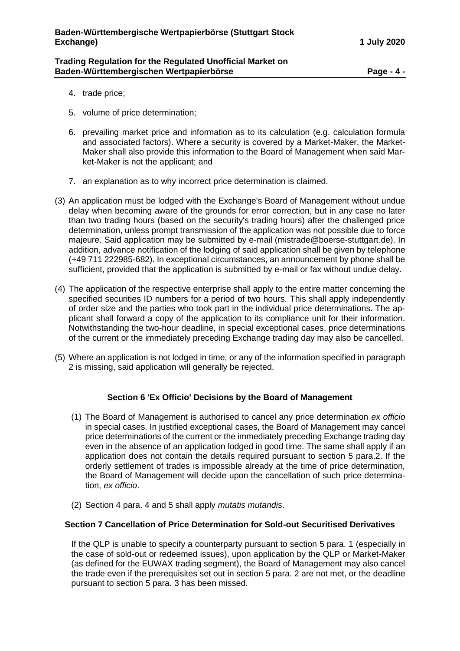#### **Trading Regulation for the Regulated Unofficial Market on Baden-Württembergischen Wertpapierbörse Page - 4 -**

- 4. trade price;
- 5. volume of price determination;
- 6. prevailing market price and information as to its calculation (e.g. calculation formula and associated factors). Where a security is covered by a Market-Maker, the Market-Maker shall also provide this information to the Board of Management when said Market-Maker is not the applicant; and
- 7. an explanation as to why incorrect price determination is claimed.
- (3) An application must be lodged with the Exchange's Board of Management without undue delay when becoming aware of the grounds for error correction, but in any case no later than two trading hours (based on the security's trading hours) after the challenged price determination, unless prompt transmission of the application was not possible due to force majeure. Said application may be submitted by e-mail (mistrade@boerse-stuttgart.de). In addition, advance notification of the lodging of said application shall be given by telephone (+49 711 222985-682). In exceptional circumstances, an announcement by phone shall be sufficient, provided that the application is submitted by e-mail or fax without undue delay.
- (4) The application of the respective enterprise shall apply to the entire matter concerning the specified securities ID numbers for a period of two hours. This shall apply independently of order size and the parties who took part in the individual price determinations. The applicant shall forward a copy of the application to its compliance unit for their information. Notwithstanding the two-hour deadline, in special exceptional cases, price determinations of the current or the immediately preceding Exchange trading day may also be cancelled.
- (5) Where an application is not lodged in time, or any of the information specified in paragraph 2 is missing, said application will generally be rejected.

# **Section 6 'Ex Officio' Decisions by the Board of Management**

- <span id="page-3-0"></span>(1) The Board of Management is authorised to cancel any price determination *ex officio* in special cases. In justified exceptional cases, the Board of Management may cancel price determinations of the current or the immediately preceding Exchange trading day even in the absence of an application lodged in good time. The same shall apply if an application does not contain the details required pursuant to section 5 para.2. If the orderly settlement of trades is impossible already at the time of price determination, the Board of Management will decide upon the cancellation of such price determination, *ex officio*.
- (2) Section 4 para. 4 and 5 shall apply *mutatis mutandis*.

# <span id="page-3-1"></span>**Section 7 Cancellation of Price Determination for Sold-out Securitised Derivatives**

If the QLP is unable to specify a counterparty pursuant to section 5 para. 1 (especially in the case of sold-out or redeemed issues), upon application by the QLP or Market-Maker (as defined for the EUWAX trading segment), the Board of Management may also cancel the trade even if the prerequisites set out in section 5 para. 2 are not met, or the deadline pursuant to section 5 para. 3 has been missed.